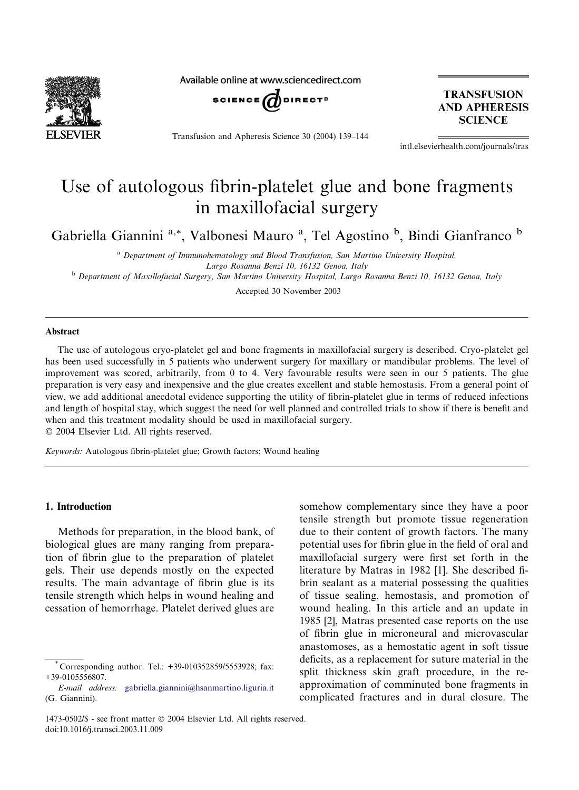

Available online at www.sciencedirect.com



Transfusion and Apheresis Science 30 (2004) 139–144

**TRANSFUSION AND APHERESIS SCIENCE** 

intl.elsevierhealth.com/journals/tras

# Use of autologous fibrin-platelet glue and bone fragments in maxillofacial surgery

Gabriella Giannini<sup>a,\*</sup>, Valbonesi Mauro<sup>a</sup>, Tel Agostino<sup>b</sup>, Bindi Gianfranco<sup>b</sup>

<sup>a</sup> Department of Immunohematology and Blood Transfusion, San Martino University Hospital, Largo Rosanna Benzi 10, 16132 Genoa, Italy <sup>b</sup> Department of Maxillofacial Surgery, San Martino University Hospital, Largo Rosanna Benzi 10, 16132 Genoa, Italy

Accepted 30 November 2003

#### Abstract

The use of autologous cryo-platelet gel and bone fragments in maxillofacial surgery is described. Cryo-platelet gel has been used successfully in 5 patients who underwent surgery for maxillary or mandibular problems. The level of improvement was scored, arbitrarily, from 0 to 4. Very favourable results were seen in our 5 patients. The glue preparation is very easy and inexpensive and the glue creates excellent and stable hemostasis. From a general point of view, we add additional anecdotal evidence supporting the utility of fibrin-platelet glue in terms of reduced infections and length of hospital stay, which suggest the need for well planned and controlled trials to show if there is benefit and when and this treatment modality should be used in maxillofacial surgery. 2004 Elsevier Ltd. All rights reserved.

Keywords: Autologous fibrin-platelet glue; Growth factors; Wound healing

#### 1. Introduction

Methods for preparation, in the blood bank, of biological glues are many ranging from preparation of fibrin glue to the preparation of platelet gels. Their use depends mostly on the expected results. The main advantage of fibrin glue is its tensile strength which helps in wound healing and cessation of hemorrhage. Platelet derived glues are somehow complementary since they have a poor tensile strength but promote tissue regeneration due to their content of growth factors. The many potential uses for fibrin glue in the field of oral and maxillofacial surgery were first set forth in the literature by Matras in 1982 [1]. She described fibrin sealant as a material possessing the qualities of tissue sealing, hemostasis, and promotion of wound healing. In this article and an update in 1985 [2], Matras presented case reports on the use of fibrin glue in microneural and microvascular anastomoses, as a hemostatic agent in soft tissue deficits, as a replacement for suture material in the split thickness skin graft procedure, in the reapproximation of comminuted bone fragments in complicated fractures and in dural closure. The

Corresponding author. Tel.: +39-010352859/5553928; fax: +39-0105556807.

E-mail address: [gabriella.giannini@hsanmartino.liguria.it](mail to: gabriella.giannini@hsanmartino.liguria.it) (G. Giannini).

<sup>1473-0502/\$ -</sup> see front matter 2004 Elsevier Ltd. All rights reserved. doi:10.1016/j.transci.2003.11.009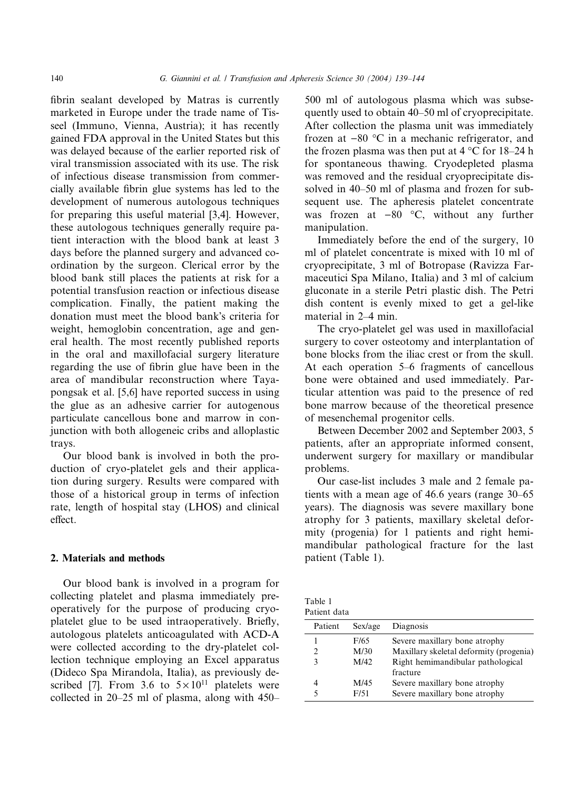fibrin sealant developed by Matras is currently marketed in Europe under the trade name of Tisseel (Immuno, Vienna, Austria); it has recently gained FDA approval in the United States but this was delayed because of the earlier reported risk of viral transmission associated with its use. The risk of infectious disease transmission from commercially available fibrin glue systems has led to the development of numerous autologous techniques for preparing this useful material [3,4]. However, these autologous techniques generally require patient interaction with the blood bank at least 3 days before the planned surgery and advanced coordination by the surgeon. Clerical error by the blood bank still places the patients at risk for a potential transfusion reaction or infectious disease complication. Finally, the patient making the donation must meet the blood bank's criteria for weight, hemoglobin concentration, age and general health. The most recently published reports in the oral and maxillofacial surgery literature regarding the use of fibrin glue have been in the area of mandibular reconstruction where Tayapongsak et al. [5,6] have reported success in using the glue as an adhesive carrier for autogenous particulate cancellous bone and marrow in conjunction with both allogeneic cribs and alloplastic trays.

Our blood bank is involved in both the production of cryo-platelet gels and their application during surgery. Results were compared with those of a historical group in terms of infection rate, length of hospital stay (LHOS) and clinical effect.

# 2. Materials and methods

Our blood bank is involved in a program for collecting platelet and plasma immediately preoperatively for the purpose of producing cryoplatelet glue to be used intraoperatively. Briefly, autologous platelets anticoagulated with ACD-A were collected according to the dry-platelet collection technique employing an Excel apparatus (Dideco Spa Mirandola, Italia), as previously described [7]. From 3.6 to  $5 \times 10^{11}$  platelets were collected in 20–25 ml of plasma, along with 450– 500 ml of autologous plasma which was subsequently used to obtain 40–50 ml of cryoprecipitate. After collection the plasma unit was immediately frozen at  $-80$  °C in a mechanic refrigerator, and the frozen plasma was then put at  $4^{\circ}$ C for 18–24 h for spontaneous thawing. Cryodepleted plasma was removed and the residual cryoprecipitate dissolved in 40–50 ml of plasma and frozen for subsequent use. The apheresis platelet concentrate was frozen at  $-80$  °C, without any further manipulation.

Immediately before the end of the surgery, 10 ml of platelet concentrate is mixed with 10ml of cryoprecipitate, 3 ml of Botropase (Ravizza Farmaceutici Spa Milano, Italia) and 3 ml of calcium gluconate in a sterile Petri plastic dish. The Petri dish content is evenly mixed to get a gel-like material in 2–4 min.

The cryo-platelet gel was used in maxillofacial surgery to cover osteotomy and interplantation of bone blocks from the iliac crest or from the skull. At each operation 5–6 fragments of cancellous bone were obtained and used immediately. Particular attention was paid to the presence of red bone marrow because of the theoretical presence of mesenchemal progenitor cells.

Between December 2002 and September 2003, 5 patients, after an appropriate informed consent, underwent surgery for maxillary or mandibular problems.

Our case-list includes 3 male and 2 female patients with a mean age of 46.6 years (range 30–65 years). The diagnosis was severe maxillary bone atrophy for 3 patients, maxillary skeletal deformity (progenia) for 1 patients and right hemimandibular pathological fracture for the last patient (Table 1).

| Table 1      |  |
|--------------|--|
| Patient data |  |

| Patient | Sex/age | Diagnosis                               |
|---------|---------|-----------------------------------------|
|         | F/65    | Severe maxillary bone atrophy           |
| 2.      | M/30    | Maxillary skeletal deformity (progenia) |
| ٩       | M/42    | Right hemimandibular pathological       |
|         |         | fracture                                |
|         | M/45    | Severe maxillary bone atrophy           |
|         | F/51    | Severe maxillary bone atrophy           |
|         |         |                                         |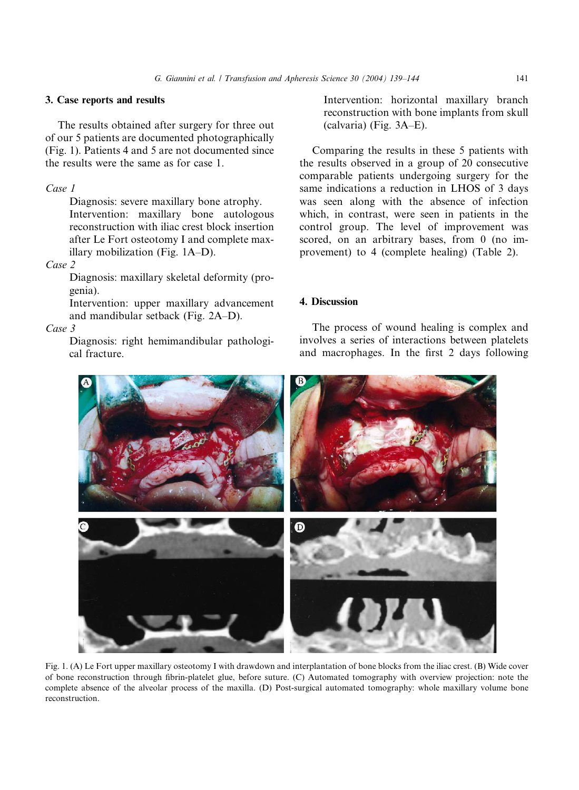# 3. Case reports and results

The results obtained after surgery for three out of our 5 patients are documented photographically (Fig. 1). Patients 4 and 5 are not documented since the results were the same as for case 1.

# Case 1

Diagnosis: severe maxillary bone atrophy. Intervention: maxillary bone autologous reconstruction with iliac crest block insertion after Le Fort osteotomy I and complete maxillary mobilization (Fig. 1A–D).

# Case 2

Diagnosis: maxillary skeletal deformity (progenia).

Intervention: upper maxillary advancement and mandibular setback (Fig. 2A–D).

### Case 3

Diagnosis: right hemimandibular pathological fracture.

Intervention: horizontal maxillary branch reconstruction with bone implants from skull (calvaria) (Fig. 3A–E).

Comparing the results in these 5 patients with the results observed in a group of 20 consecutive comparable patients undergoing surgery for the same indications a reduction in LHOS of 3 days was seen along with the absence of infection which, in contrast, were seen in patients in the control group. The level of improvement was scored, on an arbitrary bases, from 0 (no improvement) to 4 (complete healing) (Table 2).

# 4. Discussion

The process of wound healing is complex and involves a series of interactions between platelets and macrophages. In the first 2 days following



Fig. 1. (A) Le Fort upper maxillary osteotomy I with drawdown and interplantation of bone blocks from the iliac crest. (B) Wide cover of bone reconstruction through fibrin-platelet glue, before suture. (C) Automated tomography with overview projection: note the complete absence of the alveolar process of the maxilla. (D) Post-surgical automated tomography: whole maxillary volume bone reconstruction.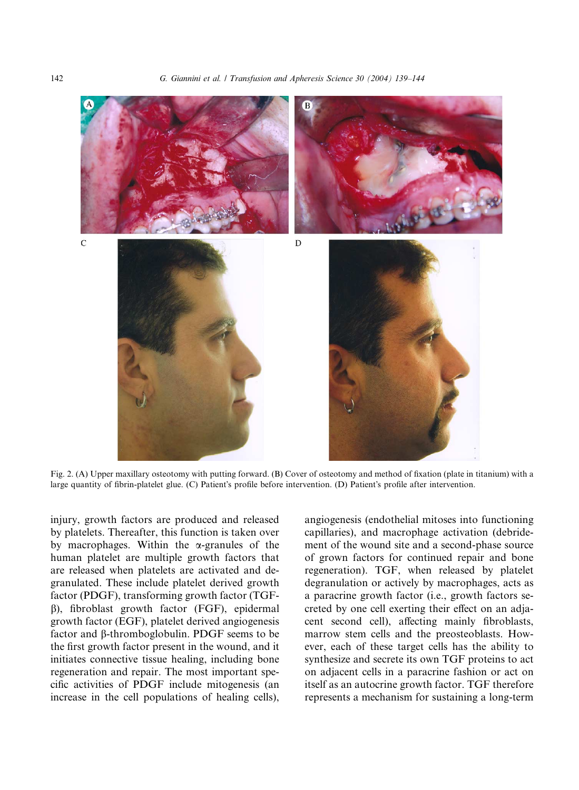

Fig. 2. (A) Upper maxillary osteotomy with putting forward. (B) Cover of osteotomy and method of fixation (plate in titanium) with a large quantity of fibrin-platelet glue. (C) Patient's profile before intervention. (D) Patient's profile after intervention.

injury, growth factors are produced and released by platelets. Thereafter, this function is taken over by macrophages. Within the  $\alpha$ -granules of the human platelet are multiple growth factors that are released when platelets are activated and degranulated. These include platelet derived growth factor (PDGF), transforming growth factor (TGFb), fibroblast growth factor (FGF), epidermal growth factor (EGF), platelet derived angiogenesis factor and b-thromboglobulin. PDGF seems to be the first growth factor present in the wound, and it initiates connective tissue healing, including bone regeneration and repair. The most important specific activities of PDGF include mitogenesis (an increase in the cell populations of healing cells),

angiogenesis (endothelial mitoses into functioning capillaries), and macrophage activation (debridement of the wound site and a second-phase source of grown factors for continued repair and bone regeneration). TGF, when released by platelet degranulation or actively by macrophages, acts as a paracrine growth factor (i.e., growth factors secreted by one cell exerting their effect on an adjacent second cell), affecting mainly fibroblasts, marrow stem cells and the preosteoblasts. However, each of these target cells has the ability to synthesize and secrete its own TGF proteins to act on adjacent cells in a paracrine fashion or act on itself as an autocrine growth factor. TGF therefore represents a mechanism for sustaining a long-term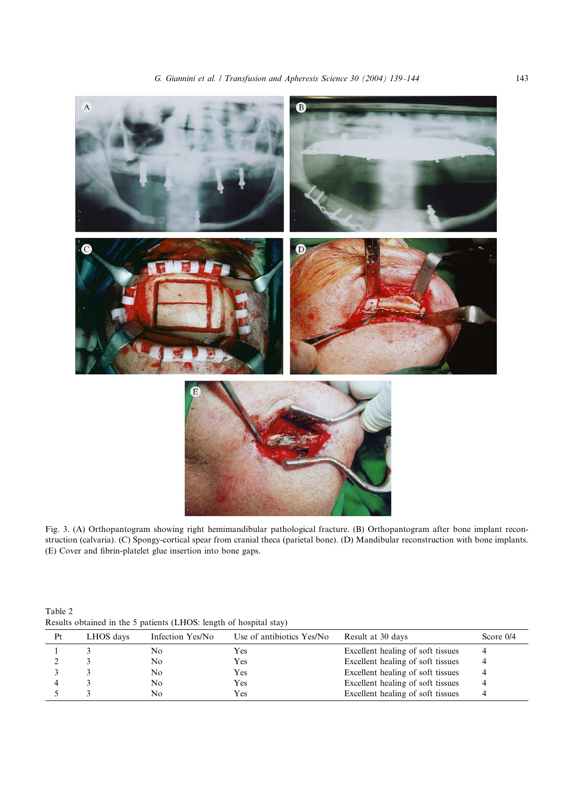

Fig. 3. (A) Orthopantogram showing right hemimandibular pathological fracture. (B) Orthopantogram after bone implant reconstruction (calvaria). (C) Spongy-cortical spear from cranial theca (parietal bone). (D) Mandibular reconstruction with bone implants. (E) Cover and fibrin-platelet glue insertion into bone gaps.

Table 2 Results obtained in the 5 patients (LHOS: length of hospital stay)

| Pt | LHOS days | Infection Yes/No | Use of antibiotics Yes/No | Result at 30 days                 | Score $0/4$ |
|----|-----------|------------------|---------------------------|-----------------------------------|-------------|
|    |           | No               | Yes                       | Excellent healing of soft tissues | 4           |
|    |           | No               | Yes                       | Excellent healing of soft tissues |             |
|    |           | No               | Yes                       | Excellent healing of soft tissues |             |
|    |           | No               | Yes                       | Excellent healing of soft tissues |             |
|    |           | No               | Yes                       | Excellent healing of soft tissues |             |